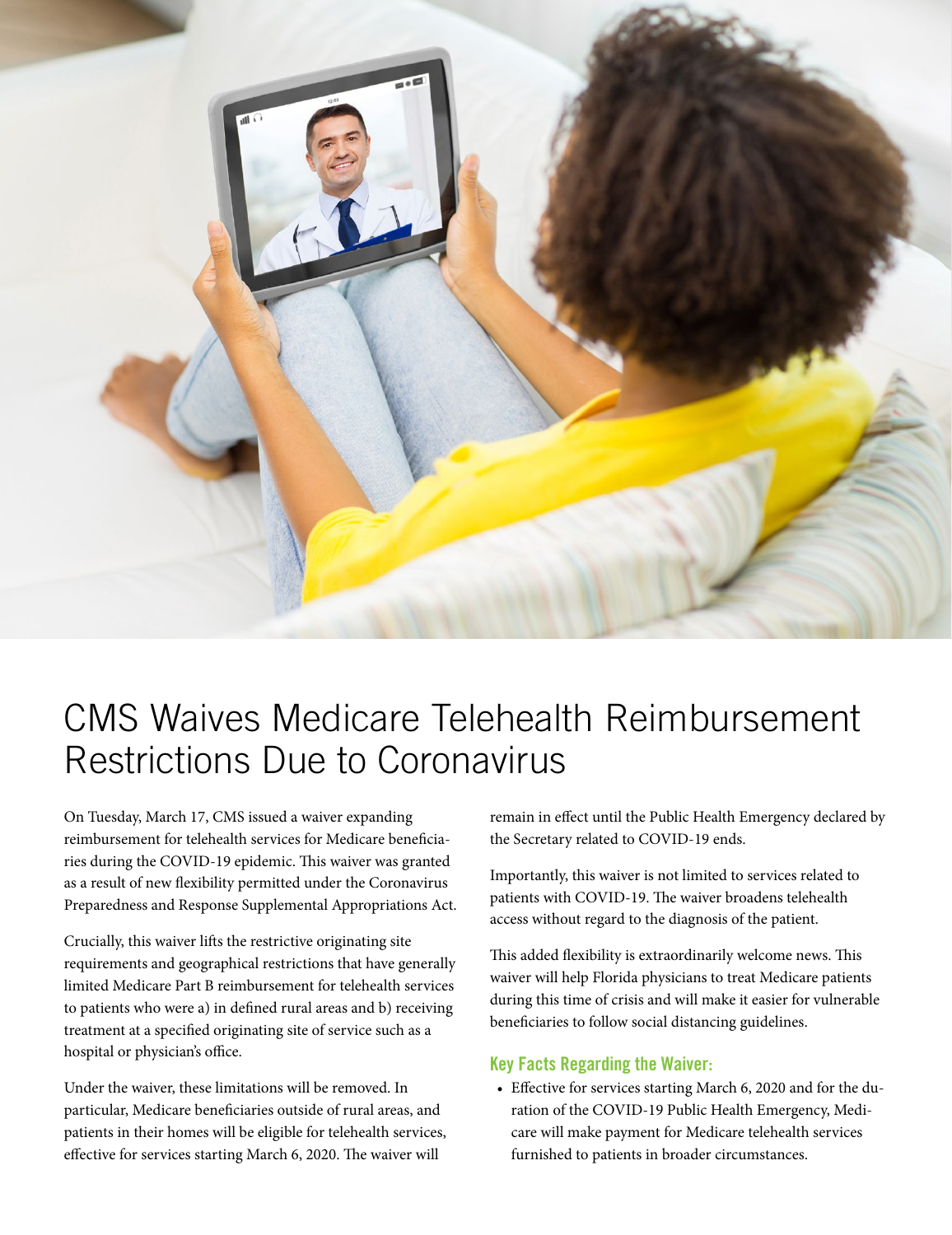

## CMS Waives Medicare Telehealth Reimbursement Restrictions Due to Coronavirus

On Tuesday, March 17, CMS issued a waiver expanding reimbursement for telehealth services for Medicare beneficiaries during the COVID-19 epidemic. This waiver was granted as a result of new flexibility permitted under the Coronavirus Preparedness and Response Supplemental Appropriations Act.

Crucially, this waiver lifts the restrictive originating site requirements and geographical restrictions that have generally limited Medicare Part B reimbursement for telehealth services to patients who were a) in defined rural areas and b) receiving treatment at a specified originating site of service such as a hospital or physician's office.

Under the waiver, these limitations will be removed. In particular, Medicare beneficiaries outside of rural areas, and patients in their homes will be eligible for telehealth services, effective for services starting March 6, 2020. The waiver will

remain in effect until the Public Health Emergency declared by the Secretary related to COVID-19 ends.

Importantly, this waiver is not limited to services related to patients with COVID-19. The waiver broadens telehealth access without regard to the diagnosis of the patient.

This added flexibility is extraordinarily welcome news. This waiver will help Florida physicians to treat Medicare patients during this time of crisis and will make it easier for vulnerable beneficiaries to follow social distancing guidelines.

## Key Facts Regarding the Waiver:

• Effective for services starting March 6, 2020 and for the duration of the COVID-19 Public Health Emergency, Medicare will make payment for Medicare telehealth services furnished to patients in broader circumstances.